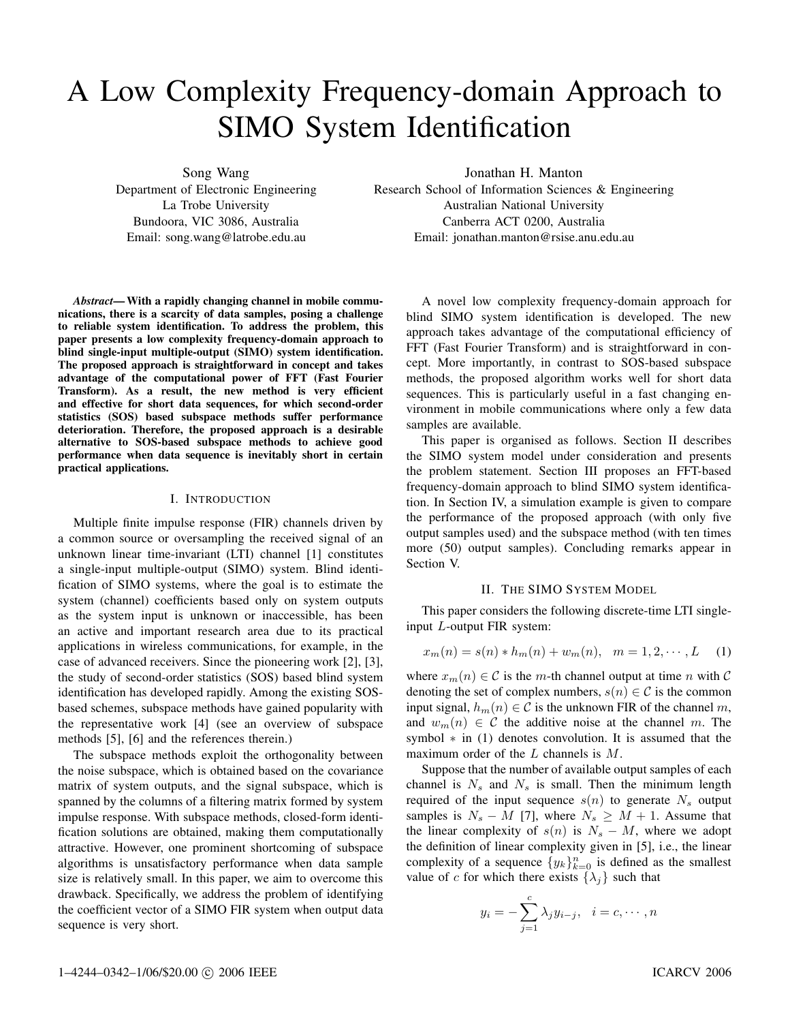# A Low Complexity Frequency-domain Approach to SIMO System Identification

Song Wang

Department of Electronic Engineering La Trobe University Bundoora, VIC 3086, Australia Email: song.wang@latrobe.edu.au

Jonathan H. Manton

Research School of Information Sciences & Engineering Australian National University Canberra ACT 0200, Australia Email: jonathan.manton@rsise.anu.edu.au

*Abstract***— With a rapidly changing channel in mobile communications, there is a scarcity of data samples, posing a challenge to reliable system identification. To address the problem, this paper presents a low complexity frequency-domain approach to blind single-input multiple-output (SIMO) system identification. The proposed approach is straightforward in concept and takes advantage of the computational power of FFT (Fast Fourier Transform). As a result, the new method is very efficient and effective for short data sequences, for which second-order statistics (SOS) based subspace methods suffer performance deterioration. Therefore, the proposed approach is a desirable alternative to SOS-based subspace methods to achieve good performance when data sequence is inevitably short in certain practical applications.**

#### I. INTRODUCTION

Multiple finite impulse response (FIR) channels driven by a common source or oversampling the received signal of an unknown linear time-invariant (LTI) channel [1] constitutes a single-input multiple-output (SIMO) system. Blind identification of SIMO systems, where the goal is to estimate the system (channel) coefficients based only on system outputs as the system input is unknown or inaccessible, has been an active and important research area due to its practical applications in wireless communications, for example, in the case of advanced receivers. Since the pioneering work [2], [3], the study of second-order statistics (SOS) based blind system identification has developed rapidly. Among the existing SOSbased schemes, subspace methods have gained popularity with the representative work [4] (see an overview of subspace methods [5], [6] and the references therein.)

The subspace methods exploit the orthogonality between the noise subspace, which is obtained based on the covariance matrix of system outputs, and the signal subspace, which is spanned by the columns of a filtering matrix formed by system impulse response. With subspace methods, closed-form identification solutions are obtained, making them computationally attractive. However, one prominent shortcoming of subspace algorithms is unsatisfactory performance when data sample size is relatively small. In this paper, we aim to overcome this drawback. Specifically, we address the problem of identifying the coefficient vector of a SIMO FIR system when output data sequence is very short.

A novel low complexity frequency-domain approach for blind SIMO system identification is developed. The new approach takes advantage of the computational efficiency of FFT (Fast Fourier Transform) and is straightforward in concept. More importantly, in contrast to SOS-based subspace methods, the proposed algorithm works well for short data sequences. This is particularly useful in a fast changing environment in mobile communications where only a few data samples are available.

This paper is organised as follows. Section II describes the SIMO system model under consideration and presents the problem statement. Section III proposes an FFT-based frequency-domain approach to blind SIMO system identification. In Section IV, a simulation example is given to compare the performance of the proposed approach (with only five output samples used) and the subspace method (with ten times more (50) output samples). Concluding remarks appear in Section V.

## II. THE SIMO SYSTEM MODEL

This paper considers the following discrete-time LTI singleinput L-output FIR system:

$$
x_m(n) = s(n) * h_m(n) + w_m(n), \quad m = 1, 2, \cdots, L \quad (1)
$$

where  $x_m(n) \in \mathcal{C}$  is the m-th channel output at time n with  $\mathcal{C}$ denoting the set of complex numbers,  $s(n) \in \mathcal{C}$  is the common input signal,  $h_m(n) \in \mathcal{C}$  is the unknown FIR of the channel m, and  $w_m(n) \in \mathcal{C}$  the additive noise at the channel m. The symbol  $*$  in (1) denotes convolution. It is assumed that the maximum order of the L channels is M.

Suppose that the number of available output samples of each channel is  $N_s$  and  $N_s$  is small. Then the minimum length required of the input sequence  $s(n)$  to generate  $N_s$  output samples is  $N_s - M$  [7], where  $N_s \geq M + 1$ . Assume that the linear complexity of  $s(n)$  is  $N_s - M$ , where we adopt the definition of linear complexity given in [5], i.e., the linear complexity of a sequence  $\{y_k\}_{k=0}^n$  is defined as the smallest value of c for which there exists  $\{\lambda_j\}$  such that

$$
y_i = -\sum_{j=1}^c \lambda_j y_{i-j}, \quad i = c, \cdots, n
$$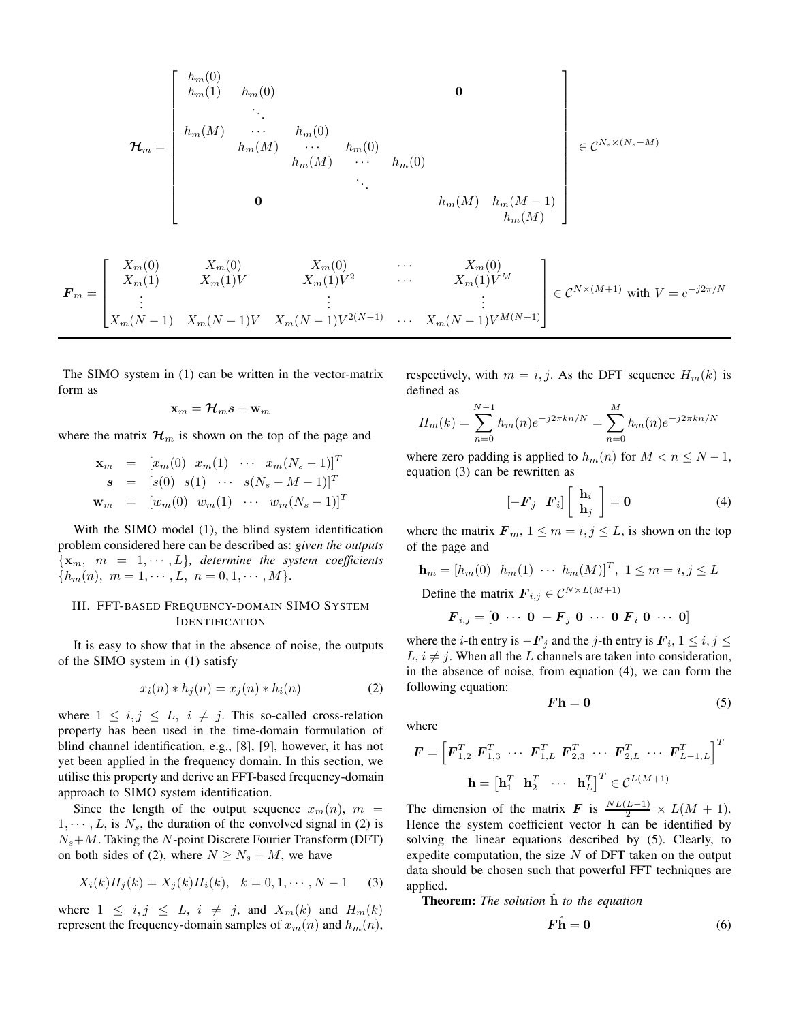$$
\mathcal{H}_{m} = \begin{bmatrix} h_{m}(0) & & & & & \\ h_{m}(1) & h_{m}(0) & & & & & \\ & \ddots & & & & \\ h_{m}(M) & \cdots & h_{m}(0) & & & \\ & & h_{m}(M) & \cdots & h_{m}(0) & & \\ & & & & h_{m}(M) & \cdots & h_{m}(M) & \\ & & & & & h_{m}(M) & h_{m}(M-1) \\ & & & & & & h_{m}(M) \end{bmatrix} \in \mathcal{C}^{N_{s} \times (N_{s} - M)}
$$

$$
\boldsymbol{F}_{m} = \begin{bmatrix} X_{m}(0) & X_{m}(0) & X_{m}(0) & \cdots & X_{m}(0) \\ X_{m}(1) & X_{m}(1)V & X_{m}(1)V^{2} & \cdots & X_{m}(1)V^{M} \\ \vdots & \vdots & \ddots & \vdots \\ X_{m}(N-1) & X_{m}(N-1)V & X_{m}(N-1)V^{2(N-1)} & \cdots & X_{m}(N-1)V^{M(N-1)} \end{bmatrix} \in \mathcal{C}^{N \times (M+1)} \text{ with } V = e^{-j2\pi/N}
$$

The SIMO system in (1) can be written in the vector-matrix form as

$$
\mathbf{x}_m = \boldsymbol{\mathcal{H}}_m \boldsymbol{s} + \mathbf{w}_m
$$

where the matrix  $\mathcal{H}_m$  is shown on the top of the page and

$$
\mathbf{x}_{m} = [x_{m}(0) \ x_{m}(1) \ \cdots \ x_{m}(N_{s}-1)]^{T}
$$
  
\n
$$
\mathbf{s} = [s(0) \ s(1) \ \cdots \ s(N_{s}-M-1)]^{T}
$$
  
\n
$$
\mathbf{w}_{m} = [w_{m}(0) \ w_{m}(1) \ \cdots \ w_{m}(N_{s}-1)]^{T}
$$

With the SIMO model (1), the blind system identification problem considered here can be described as: *given the outputs*  $\{x_m, m = 1, \dots, L\}$ , determine the system coefficients  ${h_m(n), m = 1, \cdots, L, n = 0, 1, \cdots, M}.$ 

# III. FFT-BASED FREQUENCY-DOMAIN SIMO SYSTEM IDENTIFICATION

It is easy to show that in the absence of noise, the outputs of the SIMO system in (1) satisfy

$$
x_i(n) * h_j(n) = x_j(n) * h_i(n)
$$
 (2)

where  $1 \leq i, j \leq L, i \neq j$ . This so-called cross-relation property has been used in the time-domain formulation of blind channel identification, e.g., [8], [9], however, it has not yet been applied in the frequency domain. In this section, we utilise this property and derive an FFT-based frequency-domain approach to SIMO system identification.

Since the length of the output sequence  $x_m(n)$ ,  $m =$  $1, \dots, L$ , is  $N_s$ , the duration of the convolved signal in (2) is  $N_s+M$ . Taking the N-point Discrete Fourier Transform (DFT) on both sides of (2), where  $N \ge N_s + M$ , we have

$$
X_i(k)H_j(k) = X_j(k)H_i(k), \quad k = 0, 1, \cdots, N - 1 \tag{3}
$$

where  $1 \leq i, j \leq L, i \neq j$ , and  $X_m(k)$  and  $H_m(k)$ represent the frequency-domain samples of  $x_m(n)$  and  $h_m(n)$ , respectively, with  $m = i, j$ . As the DFT sequence  $H_m(k)$  is defined as

$$
H_m(k) = \sum_{n=0}^{N-1} h_m(n) e^{-j2\pi kn/N} = \sum_{n=0}^{M} h_m(n) e^{-j2\pi kn/N}
$$

where zero padding is applied to  $h_m(n)$  for  $M < n \leq N - 1$ , equation (3) can be rewritten as

$$
\begin{bmatrix} -\boldsymbol{F}_j & \boldsymbol{F}_i \end{bmatrix} \begin{bmatrix} \mathbf{h}_i \\ \mathbf{h}_j \end{bmatrix} = \mathbf{0} \tag{4}
$$

where the matrix  $F_m$ ,  $1 \le m = i, j \le L$ , is shown on the top of the page and

$$
\mathbf{h}_m = [h_m(0) \quad h_m(1) \quad \cdots \quad h_m(M)]^T, \ 1 \le m = i, j \le L
$$
  
Define the matrix  $\mathbf{F}_{\cdot \cdot} \in C^{N \times L(M+1)}$ 

Define the matrix  $\mathbf{F}_{i,j} \in \mathcal{C}$ 

$$
\boldsymbol{F}_{i,j} = \left[\boldsymbol{0} \cdots \boldsymbol{0} - \boldsymbol{F}_j \boldsymbol{0} \cdots \boldsymbol{0} \boldsymbol{F}_i \boldsymbol{0} \cdots \boldsymbol{0}\right]
$$

where the *i*-th entry is  $-F_j$  and the *j*-th entry is  $F_i$ ,  $1 \le i, j \le j$  $L, i \neq j$ . When all the L channels are taken into consideration, in the absence of noise, from equation (4), we can form the following equation:

$$
Fh = 0 \tag{5}
$$

where

$$
\mathbf{F} = \left[ \mathbf{F}_{1,2}^T \ \mathbf{F}_{1,3}^T \ \cdots \ \mathbf{F}_{1,L}^T \ \mathbf{F}_{2,3}^T \ \cdots \ \mathbf{F}_{2,L}^T \ \cdots \ \mathbf{F}_{L-1,L}^T \right]^T
$$
\n
$$
\mathbf{h} = \left[ \mathbf{h}_1^T \ \mathbf{h}_2^T \ \cdots \ \mathbf{h}_L^T \right]^T \in \mathcal{C}^{L(M+1)}
$$

The dimension of the matrix *F* is  $\frac{NL(L-1)}{2} \times L(M+1)$ .<br>Hence the system coefficient yector **b** can be identified by Hence the system coefficient vector **h** can be identified by solving the linear equations described by (5). Clearly, to expedite computation, the size  $N$  of DFT taken on the output data should be chosen such that powerful FFT techniques are applied.

**Theorem:** *The solution*  $\hat{h}$  *to the equation* 

$$
\mathbf{F}\hat{\mathbf{h}} = \mathbf{0} \tag{6}
$$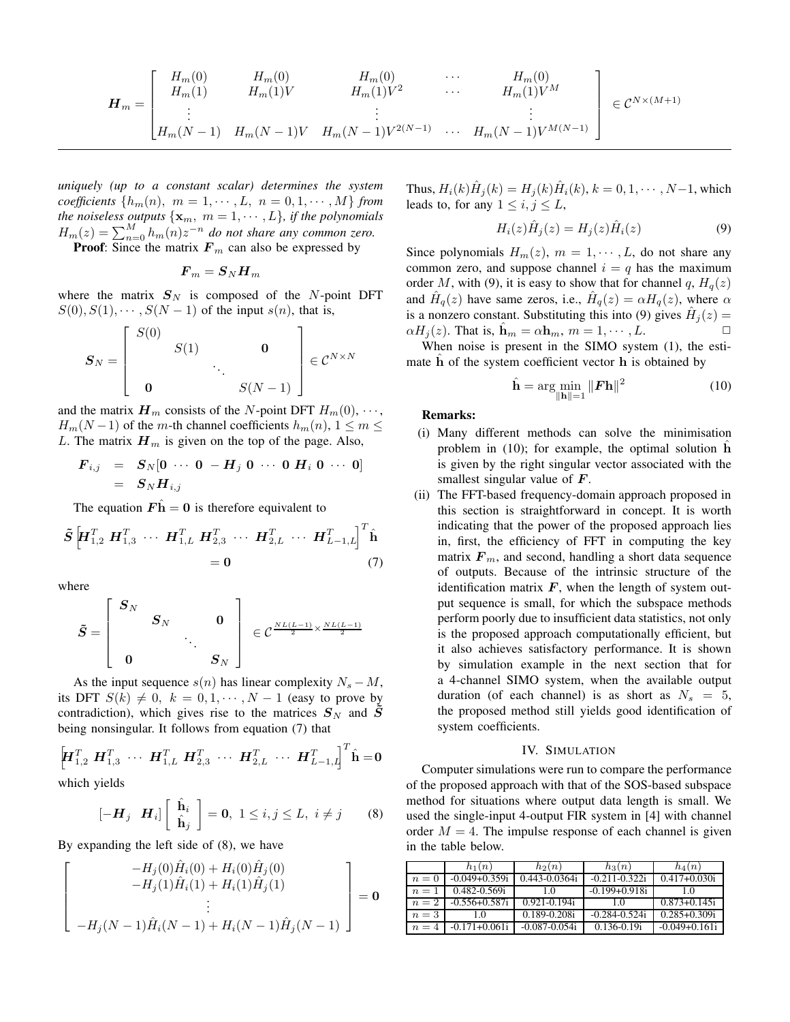$$
\boldsymbol{H}_{m} = \begin{bmatrix} H_{m}(0) & H_{m}(0) & H_{m}(0) & \cdots & H_{m}(0) \\ H_{m}(1) & H_{m}(1)V & H_{m}(1)V^{2} & \cdots & H_{m}(1)V^{M} \\ \vdots & \vdots & \ddots & \vdots \\ H_{m}(N-1) & H_{m}(N-1)V & H_{m}(N-1)V^{2(N-1)} & \cdots & H_{m}(N-1)V^{M(N-1)} \end{bmatrix} \in \mathcal{C}^{N\times (M+1)}
$$

*uniquely (up to a constant scalar) determines the system coefficients*  $\{h_m(n), m = 1, \cdots, L, n = 0, 1, \cdots, M\}$  *from the noiseless outputs*  $\{x_m, m = 1, \dots, L\}$ *, if the polynomials*  $H_m(z) = \sum_{n=0}^{M} h_m(n) z^{-n}$  *do not share any common zero.*<br>**Proof:** Since the matrix **F** can also be expressed by

**Proof:** Since the matrix  $F_m$  can also be expressed by

$$
\boldsymbol{F}_m = \boldsymbol{S}_N \boldsymbol{H}_m
$$

where the matrix  $S_N$  is composed of the N-point DFT  $S(0), S(1), \cdots, S(N-1)$  of the input  $s(n)$ , that is,

$$
\boldsymbol{S}_N = \left[ \begin{array}{ccc} S(0) & & & \\ & S(1) & & \\ & & \ddots & \\ & & & S(N-1) \end{array} \right] \in \mathcal{C}^{N \times N}
$$

and the matrix  $\mathbf{H}_m$  consists of the N-point DFT  $H_m(0), \cdots$ ,  $H_m(N-1)$  of the m-th channel coefficients  $h_m(n)$ ,  $1 \le m \le$ L. The matrix  $H_m$  is given on the top of the page. Also,

$$
F_{i,j} = S_N[0 \cdots 0 - H_j 0 \cdots 0 H_i 0 \cdots 0]
$$
  
= 
$$
S_N H_{i,j}
$$

The equation  $\mathbf{F}\hat{\mathbf{h}} = \mathbf{0}$  is therefore equivalent to

$$
\tilde{S} \left[ H_{1,2}^T H_{1,3}^T \cdots H_{1,L}^T H_{2,3}^T \cdots H_{2,L}^T \cdots H_{L-1,L}^T \right]^T \hat{\mathbf{h}} = 0 \tag{7}
$$

where

$$
\tilde{\bm{S}} = \left[ \begin{array}{ccc} \bm{S}_N & & & \bm{0} \\ & \bm{S}_N & & \bm{0} \\ & & \ddots & \ddots & \\\bm{0} & & & \bm{S}_N \end{array} \right] \; \in \mathcal{C}^{\frac{NL(L-1)}{2} \times \frac{NL(L-1)}{2}}
$$

As the input sequence  $s(n)$  has linear complexity  $N_s - M$ , its DFT  $S(k) \neq 0$ ,  $k = 0, 1, \dots, N-1$  (easy to prove by contradiction), which gives rise to the matrices  $S_N$  and  $\tilde{S}$ being nonsingular. It follows from equation (7) that

$$
\left[\!\mathbf{H}_{1,2}^T \ \mathbf{H}_{1,3}^T \ \cdots \ \mathbf{H}_{1,L}^T \ \mathbf{H}_{2,3}^T \ \cdots \ \mathbf{H}_{2,L}^T \ \cdots \ \mathbf{H}_{L-1,L}^T\!\right]^T \hat{\mathbf{h}} = \mathbf{0}
$$

which yields

$$
[-\boldsymbol{H}_j \quad \boldsymbol{H}_i] \left[ \begin{array}{c} \hat{\mathbf{h}}_i \\ \hat{\mathbf{h}}_j \end{array} \right] = \mathbf{0}, \ 1 \leq i, j \leq L, \ i \neq j \qquad (8)
$$

By expanding the left side of (8), we have

$$
\begin{bmatrix}\n-H_j(0)\hat{H}_i(0) + H_i(0)\hat{H}_j(0) \\
-H_j(1)\hat{H}_i(1) + H_i(1)\hat{H}_j(1) \\
\vdots \\
-H_j(N-1)\hat{H}_i(N-1) + H_i(N-1)\hat{H}_j(N-1)\n\end{bmatrix} = \mathbf{0}
$$

Thus,  $H_i(k)\hat{H}_i(k) = H_i(k)\hat{H}_i(k), k = 0, 1, \cdots, N-1$ , which leads to, for any  $1 \leq i, j \leq L$ ,

$$
H_i(z)\hat{H}_j(z) = H_j(z)\hat{H}_i(z)
$$
\n(9)

Since polynomials  $H_m(z)$ ,  $m = 1, \dots, L$ , do not share any common zero, and suppose channel  $i = q$  has the maximum order M, with (9), it is easy to show that for channel q,  $H_q(z)$ and  $H_q(z)$  have same zeros, i.e.,  $H_q(z) = \alpha H_q(z)$ , where  $\alpha$ is a nonzero constant. Substituting this into (9) gives  $\tilde{H}_j(z) = \alpha H_j(z)$ . That is  $\hat{\mathbf{h}}_j = \alpha \mathbf{h}_j (z) - I_j (z)$ .  $\alpha H_i(z)$ . That is,  $\hat{\mathbf{h}}_m = \alpha \mathbf{h}_m$ ,  $m = 1, \dots, L$ .

When noise is present in the SIMO system (1), the estimate **h** of the system coefficient vector **h** is obtained by

$$
\hat{\mathbf{h}} = \arg\min_{\|\mathbf{h}\| = 1} \|F\mathbf{h}\|^2
$$
 (10)

### **Remarks:**

- (i) Many different methods can solve the minimisation problem in (10); for example, the optimal solution **h** is given by the right singular vector associated with the smallest singular value of *F*.
- (ii) The FFT-based frequency-domain approach proposed in this section is straightforward in concept. It is worth indicating that the power of the proposed approach lies in, first, the efficiency of FFT in computing the key matrix  $F_m$ , and second, handling a short data sequence of outputs. Because of the intrinsic structure of the identification matrix  $F$ , when the length of system output sequence is small, for which the subspace methods perform poorly due to insufficient data statistics, not only is the proposed approach computationally efficient, but it also achieves satisfactory performance. It is shown by simulation example in the next section that for a 4-channel SIMO system, when the available output duration (of each channel) is as short as  $N_s = 5$ , the proposed method still yields good identification of system coefficients.

#### IV. SIMULATION

Computer simulations were run to compare the performance of the proposed approach with that of the SOS-based subspace method for situations where output data length is small. We used the single-input 4-output FIR system in [4] with channel order  $M = 4$ . The impulse response of each channel is given in the table below.

|       | $h_1(n)$          | $h_2(n)$         | $h_3(n)$          | $h_4(n)$          |
|-------|-------------------|------------------|-------------------|-------------------|
| $n=0$ | $-0.049 + 0.359i$ | 0.443-0.0364i    | $-0.211 - 0.322i$ | $0.417 + 0.030i$  |
| $n=1$ | 0.482-0.569i      | 10               | $-0.199 + 0.918i$ | 10                |
| $n=2$ | $-0.556 + 0.587i$ | $0.921 - 0.194i$ | 1.0               | $0.873 + 0.145i$  |
| $n=3$ | 10                | 0.189-0.2081     | $-0.284 - 0.524i$ | $0.285 + 0.309i$  |
| $n=4$ | $-0.171 + 0.061i$ | -0.087-0.054i    | $0.136 - 0.19i$   | $-0.049 + 0.161i$ |